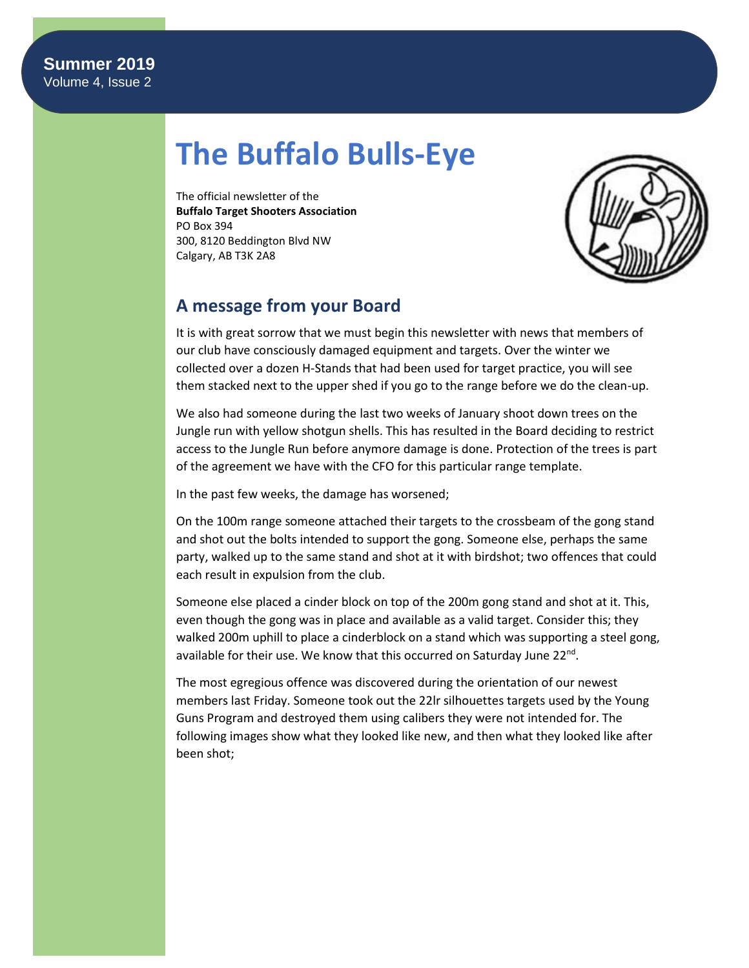# **The Buffalo Bulls-Eye**

The official newsletter of the **Buffalo Target Shooters Association** PO Box 394 300, 8120 Beddington Blvd NW Calgary, AB T3K 2A8



# **A message from your Board**

It is with great sorrow that we must begin this newsletter with news that members of our club have consciously damaged equipment and targets. Over the winter we collected over a dozen H-Stands that had been used for target practice, you will see them stacked next to the upper shed if you go to the range before we do the clean-up.

We also had someone during the last two weeks of January shoot down trees on the Jungle run with yellow shotgun shells. This has resulted in the Board deciding to restrict access to the Jungle Run before anymore damage is done. Protection of the trees is part of the agreement we have with the CFO for this particular range template.

In the past few weeks, the damage has worsened;

On the 100m range someone attached their targets to the crossbeam of the gong stand and shot out the bolts intended to support the gong. Someone else, perhaps the same party, walked up to the same stand and shot at it with birdshot; two offences that could each result in expulsion from the club.

Someone else placed a cinder block on top of the 200m gong stand and shot at it. This, even though the gong was in place and available as a valid target. Consider this; they walked 200m uphill to place a cinderblock on a stand which was supporting a steel gong, available for their use. We know that this occurred on Saturday June 22<sup>nd</sup>.

The most egregious offence was discovered during the orientation of our newest members last Friday. Someone took out the 22lr silhouettes targets used by the Young Guns Program and destroyed them using calibers they were not intended for. The following images show what they looked like new, and then what they looked like after been shot;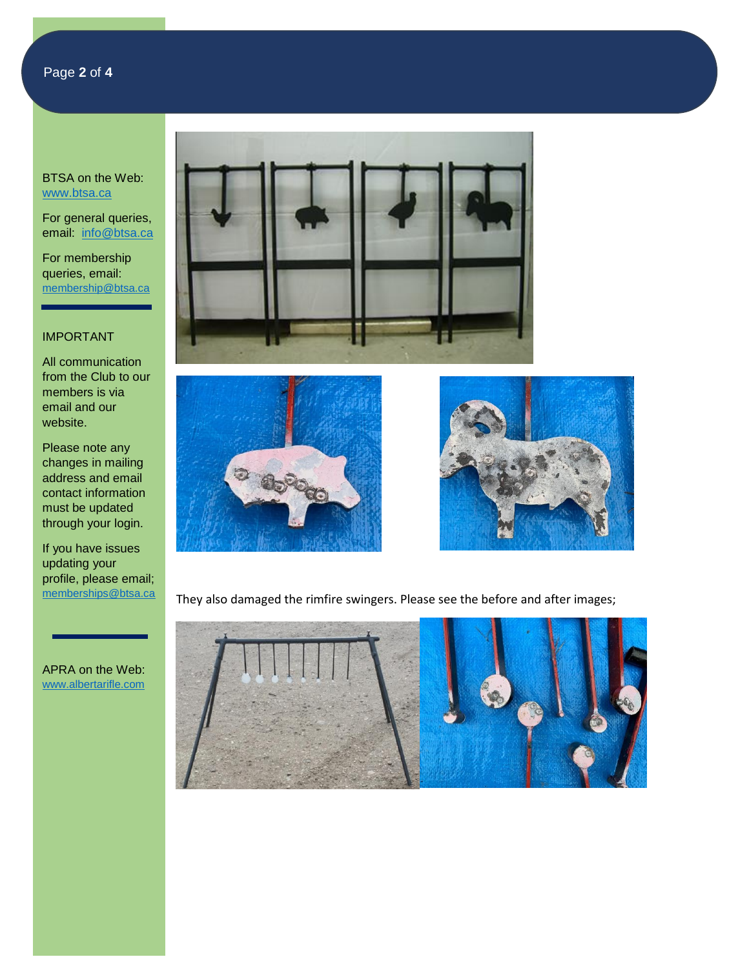For general queries, email: [info@btsa.ca](mailto:info@btsa.ca)

For membership queries, email: [membership@btsa.ca](mailto:membership@btsa.ca)

# IMPORTANT

All communication from the Club to our members is via email and our website.

Please note any changes in mailing address and email contact information must be updated through your login.

If you have issues updating your profile, please email; [memberships@btsa.ca](mailto:memberships@btsa.ca)

APRA on the Web: [www.albertarifle.com](http://www.albertarifle.com/)







They also damaged the rimfire swingers. Please see the before and after images;

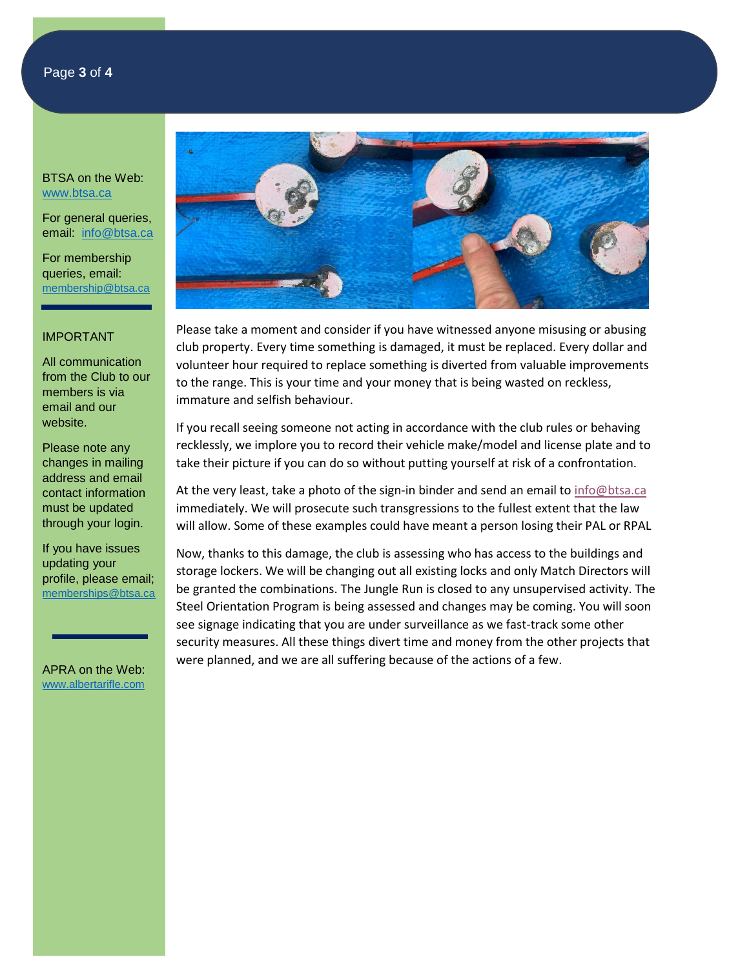For general queries, email: [info@btsa.ca](mailto:info@btsa.ca)

For membership queries, email: [membership@btsa.ca](mailto:membership@btsa.ca)

#### IMPORTANT

All communication from the Club to our members is via email and our website.

Please note any changes in mailing address and email contact information must be updated through your login.

If you have issues updating your profile, please email; [memberships@btsa.ca](mailto:memberships@btsa.ca)

APRA on the Web: [www.albertarifle.com](http://www.albertarifle.com/)



Please take a moment and consider if you have witnessed anyone misusing or abusing club property. Every time something is damaged, it must be replaced. Every dollar and volunteer hour required to replace something is diverted from valuable improvements to the range. This is your time and your money that is being wasted on reckless, immature and selfish behaviour.

If you recall seeing someone not acting in accordance with the club rules or behaving recklessly, we implore you to record their vehicle make/model and license plate and to take their picture if you can do so without putting yourself at risk of a confrontation.

At the very least, take a photo of the sign-in binder and send an email t[o info@btsa.ca](mailto:info@btsa.ca) immediately. We will prosecute such transgressions to the fullest extent that the law will allow. Some of these examples could have meant a person losing their PAL or RPAL

Now, thanks to this damage, the club is assessing who has access to the buildings and storage lockers. We will be changing out all existing locks and only Match Directors will be granted the combinations. The Jungle Run is closed to any unsupervised activity. The Steel Orientation Program is being assessed and changes may be coming. You will soon see signage indicating that you are under surveillance as we fast-track some other security measures. All these things divert time and money from the other projects that were planned, and we are all suffering because of the actions of a few.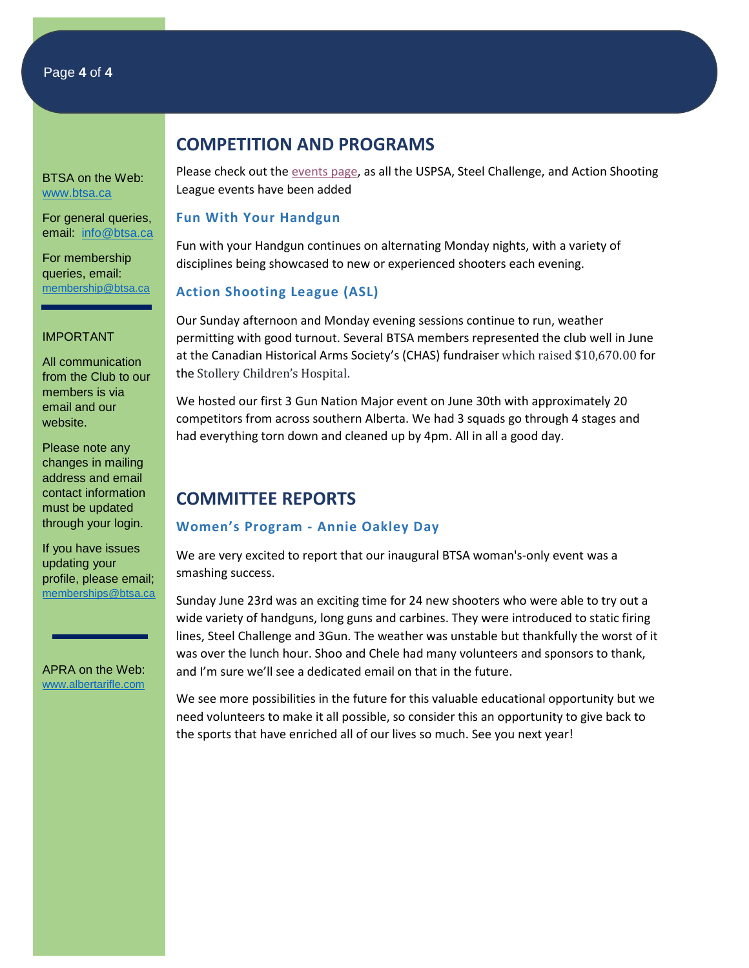For general queries, email: [info@btsa.ca](mailto:info@btsa.ca)

For membership queries, email: [membership@btsa.ca](mailto:membership@btsa.ca)

#### IMPORTANT

All communication from the Club to our members is via email and our website.

Please note any changes in mailing address and email contact information must be updated through your login.

If you have issues updating your profile, please email; [memberships@btsa.ca](mailto:memberships@btsa.ca)

APRA on the Web: [www.albertarifle.com](http://www.albertarifle.com/)

# **COMPETITION AND PROGRAMS**

Please check out th[e events page,](https://www.btsa.ca/events?EventViewMode=1&EventListViewMode=2) as all the USPSA, Steel Challenge, and Action Shooting League events have been added

### **Fun With Your Handgun**

Fun with your Handgun continues on alternating Monday nights, with a variety of disciplines being showcased to new or experienced shooters each evening.

## **Action Shooting League (ASL)**

Our Sunday afternoon and Monday evening sessions continue to run, weather permitting with good turnout. Several BTSA members represented the club well in June at the Canadian Historical Arms Society's (CHAS) fundraiser which raised \$10,670.00 for the Stollery Children's Hospital.

We hosted our first 3 Gun Nation Major event on June 30th with approximately 20 competitors from across southern Alberta. We had 3 squads go through 4 stages and had everything torn down and cleaned up by 4pm. All in all a good day.

# **COMMITTEE REPORTS**

### **Women's Program - Annie Oakley Day**

We are very excited to report that our inaugural BTSA woman's-only event was a smashing success.

Sunday June 23rd was an exciting time for 24 new shooters who were able to try out a wide variety of handguns, long guns and carbines. They were introduced to static firing lines, Steel Challenge and 3Gun. The weather was unstable but thankfully the worst of it was over the lunch hour. Shoo and Chele had many volunteers and sponsors to thank, and I'm sure we'll see a dedicated email on that in the future.

We see more possibilities in the future for this valuable educational opportunity but we need volunteers to make it all possible, so consider this an opportunity to give back to the sports that have enriched all of our lives so much. See you next year!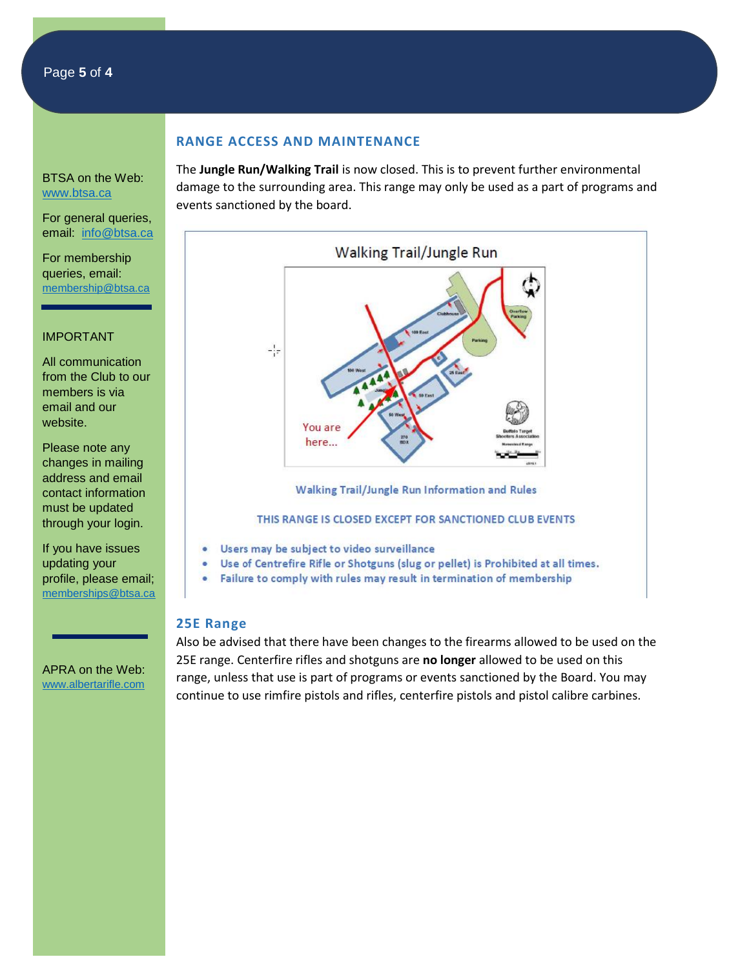# Page **5** of **4**

#### **RANGE ACCESS AND MAINTENANCE**

BTSA on the Web: [www.btsa.ca](http://www.btsa.ca/)

For general queries, email: [info@btsa.ca](mailto:info@btsa.ca)

For membership queries, email: [membership@btsa.ca](mailto:membership@btsa.ca)

### IMPORTANT

All communication from the Club to our members is via email and our website.

Please note any changes in mailing address and email contact information must be updated through your login.

If you have issues updating your profile, please email; [memberships@btsa.ca](mailto:memberships@btsa.ca)

APRA on the Web: [www.albertarifle.com](http://www.albertarifle.com/) The **Jungle Run/Walking Trail** is now closed. This is to prevent further environmental damage to the surrounding area. This range may only be used as a part of programs and events sanctioned by the board.



#### THIS RANGE IS CLOSED EXCEPT FOR SANCTIONED CLUB EVENTS

- Users may be subject to video surveillance
- Use of Centrefire Rifle or Shotguns (slug or pellet) is Prohibited at all times.
- . Failure to comply with rules may result in termination of membership

#### **25E Range**

Also be advised that there have been changes to the firearms allowed to be used on the 25E range. Centerfire rifles and shotguns are **no longer** allowed to be used on this range, unless that use is part of programs or events sanctioned by the Board. You may continue to use rimfire pistols and rifles, centerfire pistols and pistol calibre carbines.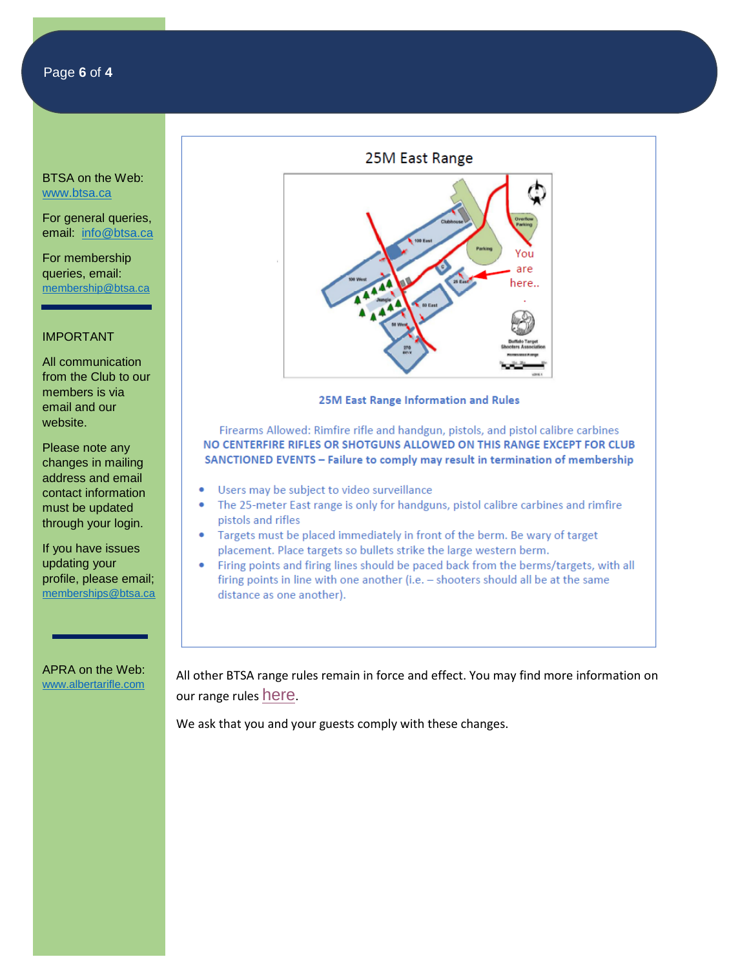For general queries, email: [info@btsa.ca](mailto:info@btsa.ca)

For membership queries, email: [membership@btsa.ca](mailto:membership@btsa.ca)

### IMPORTANT

All communication from the Club to our members is via email and our website.

Please note any changes in mailing address and email contact information must be updated through your login.

If you have issues updating your profile, please email; [memberships@btsa.ca](mailto:memberships@btsa.ca)

APRA on the Web: [www.albertarifle.com](http://www.albertarifle.com/)



#### **25M East Range Information and Rules**

Firearms Allowed: Rimfire rifle and handgun, pistols, and pistol calibre carbines NO CENTERFIRE RIFLES OR SHOTGUNS ALLOWED ON THIS RANGE EXCEPT FOR CLUB SANCTIONED EVENTS - Failure to comply may result in termination of membership

- Users may be subject to video surveillance
- The 25-meter East range is only for handguns, pistol calibre carbines and rimfire pistols and rifles
- Targets must be placed immediately in front of the berm. Be wary of target placement. Place targets so bullets strike the large western berm.
- Firing points and firing lines should be paced back from the berms/targets, with all firing points in line with one another (i.e. - shooters should all be at the same distance as one another).

All other BTSA range rules remain in force and effect. You may find more information on our range rules [here](https://apc01.safelinks.protection.outlook.com/?url=https%3A%2F%2Fbtsa.ca%2Fpage-18165&data=02%7C01%7C%7C1a19e3e8593b49c263f508d6f59f9ec5%7C84df9e7fe9f640afb435aaaaaaaaaaaa%7C1%7C0%7C636966463243594184&sdata=vgNB%2F2zTNGVv69rs9oWKH2CQ7lBKj6f8VUVDA7EE3Qc%3D&reserved=0).

We ask that you and your guests comply with these changes.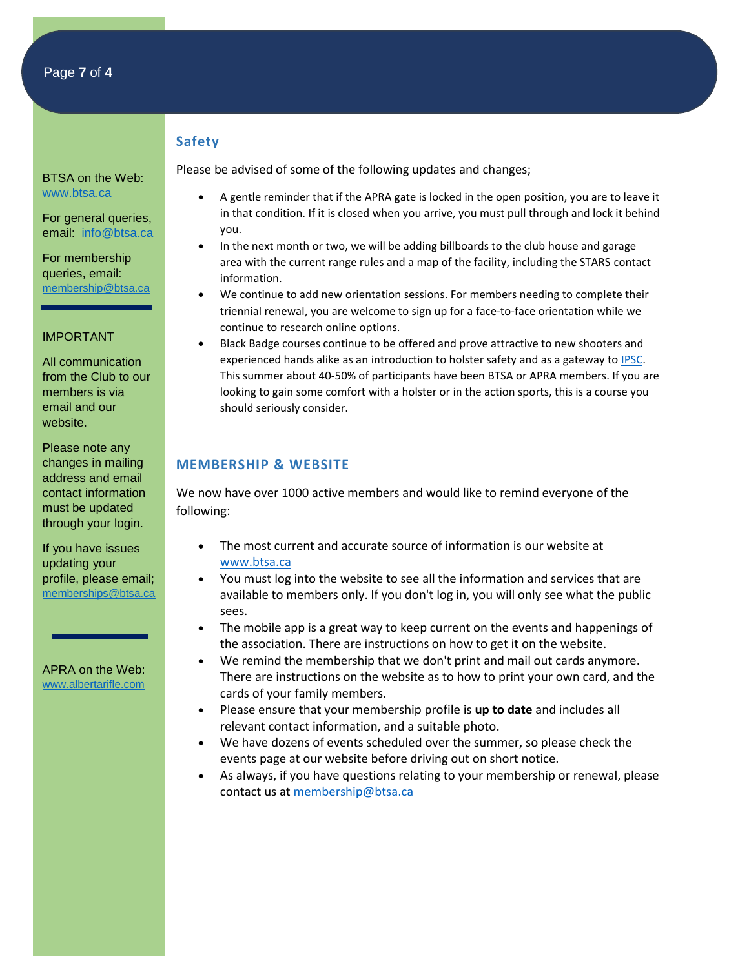# **Safety**

BTSA on the Web: [www.btsa.ca](http://www.btsa.ca/)

For general queries, email: [info@btsa.ca](mailto:info@btsa.ca)

For membership queries, email: [membership@btsa.ca](mailto:membership@btsa.ca)

#### IMPORTANT

All communication from the Club to our members is via email and our website.

Please note any changes in mailing address and email contact information must be updated through your login.

If you have issues updating your profile, please email; [memberships@btsa.ca](mailto:memberships@btsa.ca)

APRA on the Web: [www.albertarifle.com](http://www.albertarifle.com/)

- Please be advised of some of the following updates and changes;
	- A gentle reminder that if the APRA gate is locked in the open position, you are to leave it in that condition. If it is closed when you arrive, you must pull through and lock it behind you.
	- In the next month or two, we will be adding billboards to the club house and garage area with the current range rules and a map of the facility, including the STARS contact information.
	- We continue to add new orientation sessions. For members needing to complete their triennial renewal, you are welcome to sign up for a face-to-face orientation while we continue to research online options.
	- Black Badge courses continue to be offered and prove attractive to new shooters and experienced hands alike as an introduction to holster safety and as a gateway to [IPSC.](http://www.ipsc-canada.org/) This summer about 40-50% of participants have been BTSA or APRA members. If you are looking to gain some comfort with a holster or in the action sports, this is a course you should seriously consider.

# **MEMBERSHIP & WEBSITE**

We now have over 1000 active members and would like to remind everyone of the following:

- The most current and accurate source of information is our website at [www.btsa.ca](http://www.btsa.ca/)
- You must log into the website to see all the information and services that are available to members only. If you don't log in, you will only see what the public sees.
- The mobile app is a great way to keep current on the events and happenings of the association. There are instructions on how to get it on the website.
- We remind the membership that we don't print and mail out cards anymore. There are instructions on the website as to how to print your own card, and the cards of your family members.
- Please ensure that your membership profile is **up to date** and includes all relevant contact information, and a suitable photo.
- We have dozens of events scheduled over the summer, so please check the events page at our website before driving out on short notice.
- As always, if you have questions relating to your membership or renewal, please contact us at [membership@btsa.ca](mailto:membership@btsa.ca)